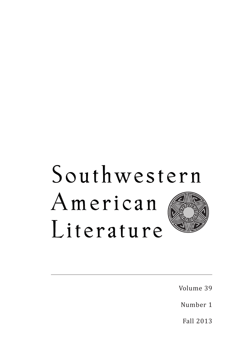## Southwestern American Literature

Volume 39

Number 1

Fall 2013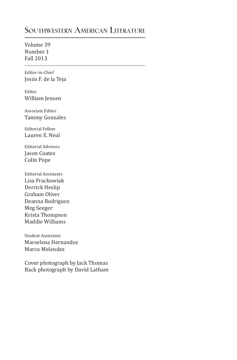## **Southwestern American Literature**

Volume 39 Number 1 Fall 2013

1 Editor-in-Chief Jesús F. de la Teja

Editor William Jensen

Associate Editor Tammy Gonzales

Editorial Fellow Lauren E. Neal

Editorial Advisors Jason Coates Colin Pope

Editorial Assistants Lisa Frackowiak Derrick Heslip Graham Oliver Deanna Rodriguez Meg Seeger Krista Thompson Maddie Williams

Student Assistants Marselena Hernandez Marco Melendez

Cover photograph by Jack Thomas Back photograph by David Latham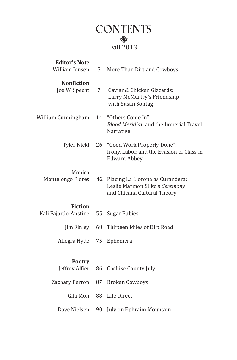

| <b>Editor's Note</b>               |    |                                                                                                   |
|------------------------------------|----|---------------------------------------------------------------------------------------------------|
| William Jensen                     | 5  | More Than Dirt and Cowboys                                                                        |
| <b>Nonfiction</b><br>Joe W. Specht | 7  | Caviar & Chicken Gizzards:<br>Larry McMurtry's Friendship<br>with Susan Sontag                    |
| William Cunningham                 | 14 | "Others Come In":<br><b>Blood Meridian and the Imperial Travel</b><br>Narrative                   |
| <b>Tyler Nickl</b>                 | 26 | "Good Work Properly Done":<br>Irony, Labor, and the Evasion of Class in<br><b>Edward Abbey</b>    |
| Monica<br>Montelongo Flores        | 42 | Placing La Llorona as Curandera:<br>Leslie Marmon Silko's Ceremony<br>and Chicana Cultural Theory |
| <b>Fiction</b>                     |    |                                                                                                   |
| Kali Fajardo-Anstine               | 55 | <b>Sugar Babies</b>                                                                               |
| Jim Finley                         | 68 | Thirteen Miles of Dirt Road                                                                       |
| Allegra Hyde                       | 75 | Ephemera                                                                                          |
| <b>Poetry</b><br>Jeffrey Alfier    |    | 86 Cochise County July                                                                            |
| Zachary Perron                     | 87 | <b>Broken Cowboys</b>                                                                             |
| Gila Mon                           | 88 | Life Direct                                                                                       |
| Dave Nielsen                       | 90 | July on Ephraim Mountain                                                                          |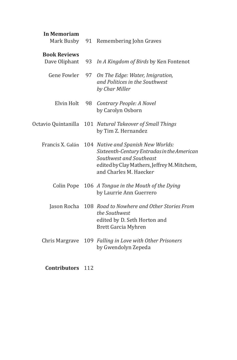| <b>In Memoriam</b><br>Mark Busby     | 91 | Remembering John Graves                                                                                                                                                              |
|--------------------------------------|----|--------------------------------------------------------------------------------------------------------------------------------------------------------------------------------------|
| <b>Book Reviews</b><br>Dave Oliphant | 93 | In A Kingdom of Birds by Ken Fontenot                                                                                                                                                |
| Gene Fowler                          | 97 | On The Edge: Water, Imigration,<br>and Politices in the Southwest<br>by Char Miller                                                                                                  |
| Elvin Holt                           | 98 | Contrary People: A Novel<br>by Carolyn Osborn                                                                                                                                        |
| Octavio Quintanilla                  |    | 101 Natural Takeover of Small Things<br>by Tim Z. Hernandez                                                                                                                          |
| Francis X. Galán                     |    | 104 Native and Spanish New Worlds:<br>Sixteenth-Century Entradas in the American<br>Southwest and Southeast<br>edited by Clay Mathers, Jeffrey M. Mitchem,<br>and Charles M. Haecker |
| Colin Pope                           |    | 106 A Tongue in the Mouth of the Dying<br>by Laurrie Ann Guerrero                                                                                                                    |
| Jason Rocha                          |    | 108 Road to Nowhere and Other Stories From<br>the Southwest<br>edited by D. Seth Horton and<br>Brett Garcia Myhren                                                                   |
| Chris Margrave                       |    | 109 Falling in Love with Other Prisoners<br>by Gwendolyn Zepeda                                                                                                                      |

**Contributors** 112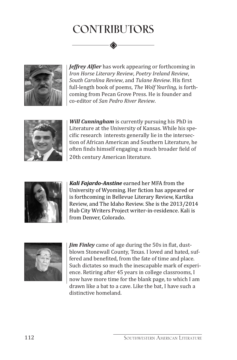## **CONTRIBUTORS**



*Jeffrey Alfier* has work appearing or forthcoming in *Iron Horse Literary Review*, *Poetry Ireland Review*, *South Carolina Review*, and *Tulane Review*. His first full-length book of poems, *The Wolf Yearling*, is forthcoming from Pecan Grove Press. He is founder and co-editor of *San Pedro River Review*.



*Will Cunningham* is currently pursuing his PhD in Literature at the University of Kansas. While his specific research interests generally lie in the intersection of African American and Southern Literature, he often finds himself engaging a much broader field of 20th century American literature.



*Kali Fajardo-Anstine* earned her MFA from the University of Wyoming. Her fiction has appeared or is forthcoming in Bellevue Literary Review, Kartika Review, and The Idaho Review. She is the 2013/2014 Hub City Writers Project writer-in-residence. Kali is from Denver, Colorado.



*Jim Finley* came of age during the 50s in flat, dustblown Stonewall County, Texas. I loved and hated, suffered and benefited, from the fate of time and place. Such dictates so much the inescapable mark of experience. Retiring after 45 years in college classrooms, I now have more time for the blank page, to which I am drawn like a bat to a cave. Like the bat, I have such a distinctive homeland.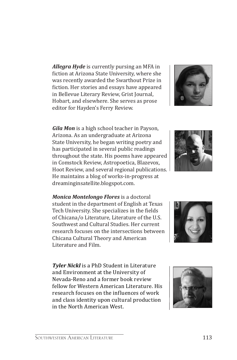*Allegra Hyde* is currently pursing an MFA in fiction at Arizona State University, where she was recently awarded the Swarthout Prize in fiction. Her stories and essays have appeared in Bellevue Literary Review, Grist Journal, Hobart, and elsewhere. She serves as prose editor for Hayden's Ferry Review.

*Gila Mon* is a high school teacher in Payson, Arizona. As an undergraduate at Arizona State University, he began writing poetry and has participated in several public readings throughout the state. His poems have appeared in Comstock Review, Astropoetica, Blazevox, Hoot Review, and several regional publications. He maintains a blog of works-in-progress at dreaminginsatellite.blogspot.com.

*Monica Montelongo Flores* is a doctoral student in the department of English at Texas Tech University. She specializes in the fields of Chicana/o Literature, Literature of the U.S. Southwest and Cultural Studies. Her current research focuses on the intersections between Chicana Cultural Theory and American Literature and Film.

*Tyler Nickl* is a PhD Student in Literature and Environment at the University of Nevada-Reno and a former book review fellow for Western American Literature. His research focuses on the influences of work and class identity upon cultural production in the North American West.